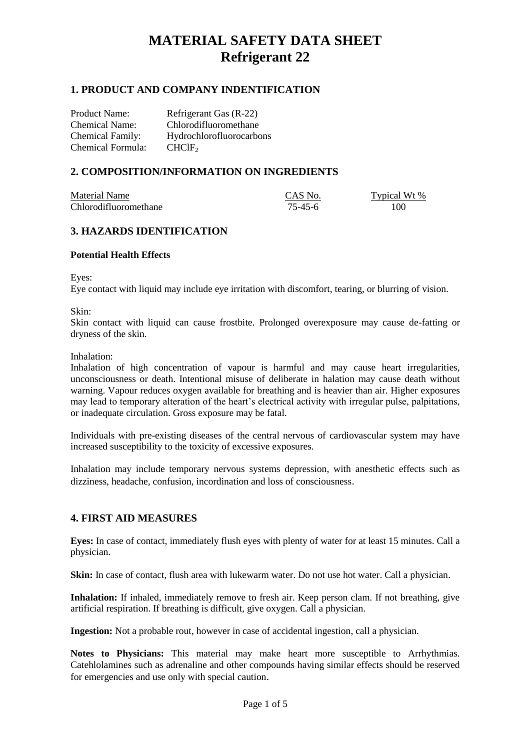## **1. PRODUCT AND COMPANY INDENTIFICATION**

Product Name: Refrigerant Gas (R-22) Chemical Name: Chlorodifluoromethane Chemical Family: Hydrochlorofluorocarbons Chemical Formula: CHClF<sub>2</sub>

## **2. COMPOSITION/INFORMATION ON INGREDIENTS**

| Material Name         | CAS No. | Typical Wt % |
|-----------------------|---------|--------------|
| Chlorodifluoromethane | 75-45-6 | 100          |

## **3. HAZARDS IDENTIFICATION**

### **Potential Health Effects**

Eyes:

Eye contact with liquid may include eye irritation with discomfort, tearing, or blurring of vision.

Skin:

Skin contact with liquid can cause frostbite. Prolonged overexposure may cause de-fatting or dryness of the skin.

Inhalation:

Inhalation of high concentration of vapour is harmful and may cause heart irregularities, unconsciousness or death. Intentional misuse of deliberate in halation may cause death without warning. Vapour reduces oxygen available for breathing and is heavier than air. Higher exposures may lead to temporary alteration of the heart's electrical activity with irregular pulse, palpitations, or inadequate circulation. Gross exposure may be fatal.

Individuals with pre-existing diseases of the central nervous of cardiovascular system may have increased susceptibility to the toxicity of excessive exposures.

Inhalation may include temporary nervous systems depression, with anesthetic effects such as dizziness, headache, confusion, incordination and loss of consciousness.

## **4. FIRST AID MEASURES**

**Eyes:** In case of contact, immediately flush eyes with plenty of water for at least 15 minutes. Call a physician.

**Skin:** In case of contact, flush area with lukewarm water. Do not use hot water. Call a physician.

**Inhalation:** If inhaled, immediately remove to fresh air. Keep person clam. If not breathing, give artificial respiration. If breathing is difficult, give oxygen. Call a physician.

**Ingestion:** Not a probable rout, however in case of accidental ingestion, call a physician.

**Notes to Physicians:** This material may make heart more susceptible to Arrhythmias. Catehlolamines such as adrenaline and other compounds having similar effects should be reserved for emergencies and use only with special caution.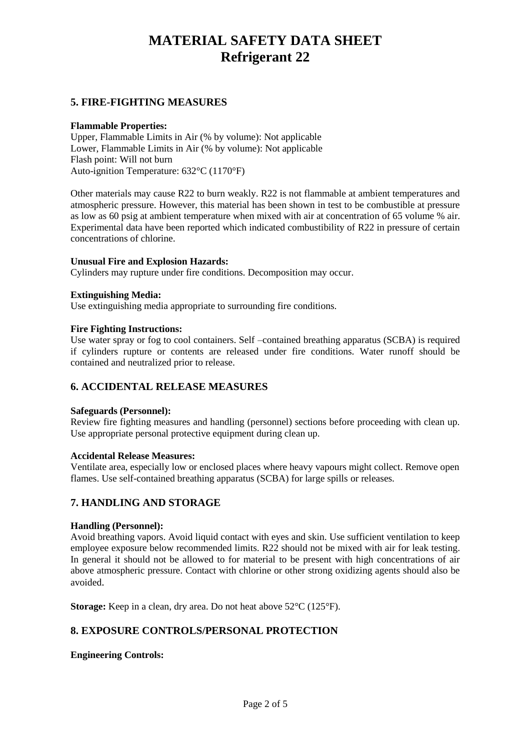## **5. FIRE-FIGHTING MEASURES**

#### **Flammable Properties:**

Upper, Flammable Limits in Air (% by volume): Not applicable Lower, Flammable Limits in Air (% by volume): Not applicable Flash point: Will not burn Auto-ignition Temperature:  $632 \text{ C}$  (1170 °F)

Other materials may cause R22 to burn weakly. R22 is not flammable at ambient temperatures and atmospheric pressure. However, this material has been shown in test to be combustible at pressure as low as 60 psig at ambient temperature when mixed with air at concentration of 65 volume % air. Experimental data have been reported which indicated combustibility of R22 in pressure of certain concentrations of chlorine.

#### **Unusual Fire and Explosion Hazards:**

Cylinders may rupture under fire conditions. Decomposition may occur.

#### **Extinguishing Media:**

Use extinguishing media appropriate to surrounding fire conditions.

#### **Fire Fighting Instructions:**

Use water spray or fog to cool containers. Self –contained breathing apparatus (SCBA) is required if cylinders rupture or contents are released under fire conditions. Water runoff should be contained and neutralized prior to release.

### **6. ACCIDENTAL RELEASE MEASURES**

#### **Safeguards (Personnel):**

Review fire fighting measures and handling (personnel) sections before proceeding with clean up. Use appropriate personal protective equipment during clean up.

#### **Accidental Release Measures:**

Ventilate area, especially low or enclosed places where heavy vapours might collect. Remove open flames. Use self-contained breathing apparatus (SCBA) for large spills or releases.

#### **7. HANDLING AND STORAGE**

#### **Handling (Personnel):**

Avoid breathing vapors. Avoid liquid contact with eyes and skin. Use sufficient ventilation to keep employee exposure below recommended limits. R22 should not be mixed with air for leak testing. In general it should not be allowed to for material to be present with high concentrations of air above atmospheric pressure. Contact with chlorine or other strong oxidizing agents should also be avoided.

**Storage:** Keep in a clean, dry area. Do not heat above 52 °C (125 °F).

## **8. EXPOSURE CONTROLS/PERSONAL PROTECTION**

#### **Engineering Controls:**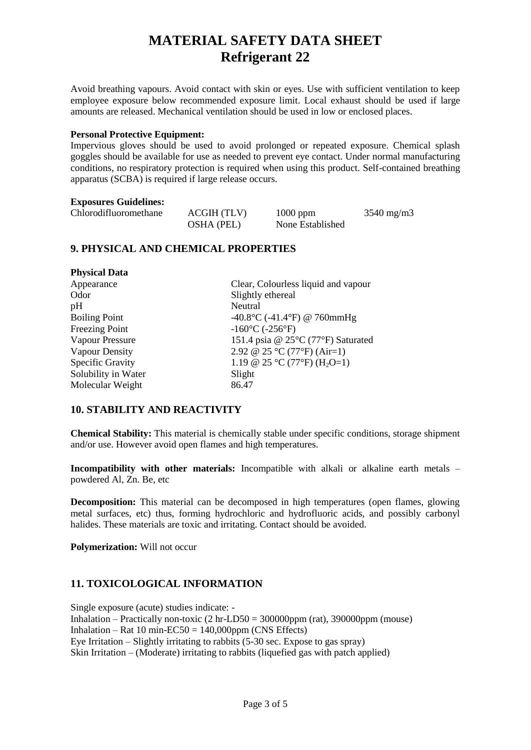Avoid breathing vapours. Avoid contact with skin or eyes. Use with sufficient ventilation to keep employee exposure below recommended exposure limit. Local exhaust should be used if large amounts are released. Mechanical ventilation should be used in low or enclosed places.

#### **Personal Protective Equipment:**

Impervious gloves should be used to avoid prolonged or repeated exposure. Chemical splash goggles should be available for use as needed to prevent eye contact. Under normal manufacturing conditions, no respiratory protection is required when using this product. Self-contained breathing apparatus (SCBA) is required if large release occurs.

#### **Exposures Guidelines:**

**Physical Data**

| Chlorodifluoromethane | ACGIH (TLV)       | $1000$ ppm       | $3540 \text{ mg/m}$ |
|-----------------------|-------------------|------------------|---------------------|
|                       | <b>OSHA</b> (PEL) | None Established |                     |

## **9. PHYSICAL AND CHEMICAL PROPERTIES**

| Clear, Colourless liquid and vapour               |
|---------------------------------------------------|
| Slightly ethereal                                 |
| Neutral                                           |
| $-40.8 \text{ C}$ (-41.4 F) @ 760mmHg             |
| $-160 \text{ C}$ (-256 F)                         |
| 151.4 psia @ 25 °C (77 °F) Saturated              |
| 2.92 @ 25 $\mathbb{C}$ (77 $\mathbb{F}$ ) (Air=1) |
| 1.19 @ 25 °C (77 °F) (H <sub>2</sub> O=1)         |
| Slight                                            |
| 86.47                                             |
|                                                   |

### **10. STABILITY AND REACTIVITY**

**Chemical Stability:** This material is chemically stable under specific conditions, storage shipment and/or use. However avoid open flames and high temperatures.

**Incompatibility with other materials:** Incompatible with alkali or alkaline earth metals – powdered Al, Zn. Be, etc

**Decomposition:** This material can be decomposed in high temperatures (open flames, glowing metal surfaces, etc) thus, forming hydrochloric and hydrofluoric acids, and possibly carbonyl halides. These materials are toxic and irritating. Contact should be avoided.

**Polymerization:** Will not occur

## **11. TOXICOLOGICAL INFORMATION**

Single exposure (acute) studies indicate: - Inhalation – Practically non-toxic  $(2 \text{ hr-LD50} = 300000 \text{ ppm} \text{ (rat)}, 390000 \text{ ppm} \text{ (mouse)}$ Inhalation – Rat 10 min- $EC50 = 140,000$ ppm (CNS Effects) Eye Irritation – Slightly irritating to rabbits (5-30 sec. Expose to gas spray) Skin Irritation – (Moderate) irritating to rabbits (liquefied gas with patch applied)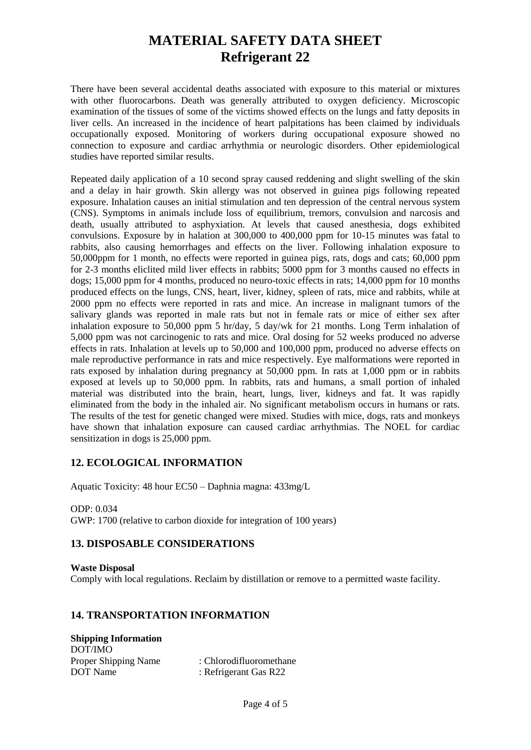There have been several accidental deaths associated with exposure to this material or mixtures with other fluorocarbons. Death was generally attributed to oxygen deficiency. Microscopic examination of the tissues of some of the victims showed effects on the lungs and fatty deposits in liver cells. An increased in the incidence of heart palpitations has been claimed by individuals occupationally exposed. Monitoring of workers during occupational exposure showed no connection to exposure and cardiac arrhythmia or neurologic disorders. Other epidemiological studies have reported similar results.

Repeated daily application of a 10 second spray caused reddening and slight swelling of the skin and a delay in hair growth. Skin allergy was not observed in guinea pigs following repeated exposure. Inhalation causes an initial stimulation and ten depression of the central nervous system (CNS). Symptoms in animals include loss of equilibrium, tremors, convulsion and narcosis and death, usually attributed to asphyxiation. At levels that caused anesthesia, dogs exhibited convulsions. Exposure by in halation at 300,000 to 400,000 ppm for 10-15 minutes was fatal to rabbits, also causing hemorrhages and effects on the liver. Following inhalation exposure to 50,000ppm for 1 month, no effects were reported in guinea pigs, rats, dogs and cats; 60,000 ppm for 2-3 months eliclited mild liver effects in rabbits; 5000 ppm for 3 months caused no effects in dogs; 15,000 ppm for 4 months, produced no neuro-toxic effects in rats; 14,000 ppm for 10 months produced effects on the lungs, CNS, heart, liver, kidney, spleen of rats, mice and rabbits, while at 2000 ppm no effects were reported in rats and mice. An increase in malignant tumors of the salivary glands was reported in male rats but not in female rats or mice of either sex after inhalation exposure to 50,000 ppm 5 hr/day, 5 day/wk for 21 months. Long Term inhalation of 5,000 ppm was not carcinogenic to rats and mice. Oral dosing for 52 weeks produced no adverse effects in rats. Inhalation at levels up to 50,000 and 100,000 ppm, produced no adverse effects on male reproductive performance in rats and mice respectively. Eye malformations were reported in rats exposed by inhalation during pregnancy at 50,000 ppm. In rats at 1,000 ppm or in rabbits exposed at levels up to 50,000 ppm. In rabbits, rats and humans, a small portion of inhaled material was distributed into the brain, heart, lungs, liver, kidneys and fat. It was rapidly eliminated from the body in the inhaled air. No significant metabolism occurs in humans or rats. The results of the test for genetic changed were mixed. Studies with mice, dogs, rats and monkeys have shown that inhalation exposure can caused cardiac arrhythmias. The NOEL for cardiac sensitization in dogs is 25,000 ppm.

## **12. ECOLOGICAL INFORMATION**

Aquatic Toxicity: 48 hour EC50 – Daphnia magna: 433mg/L

ODP: 0.034 GWP: 1700 (relative to carbon dioxide for integration of 100 years)

### **13. DISPOSABLE CONSIDERATIONS**

**Waste Disposal** Comply with local regulations. Reclaim by distillation or remove to a permitted waste facility.

### **14. TRANSPORTATION INFORMATION**

**Shipping Information** DOT/IMO Proper Shipping Name : Chlorodifluoromethane DOT Name : Refrigerant Gas R22